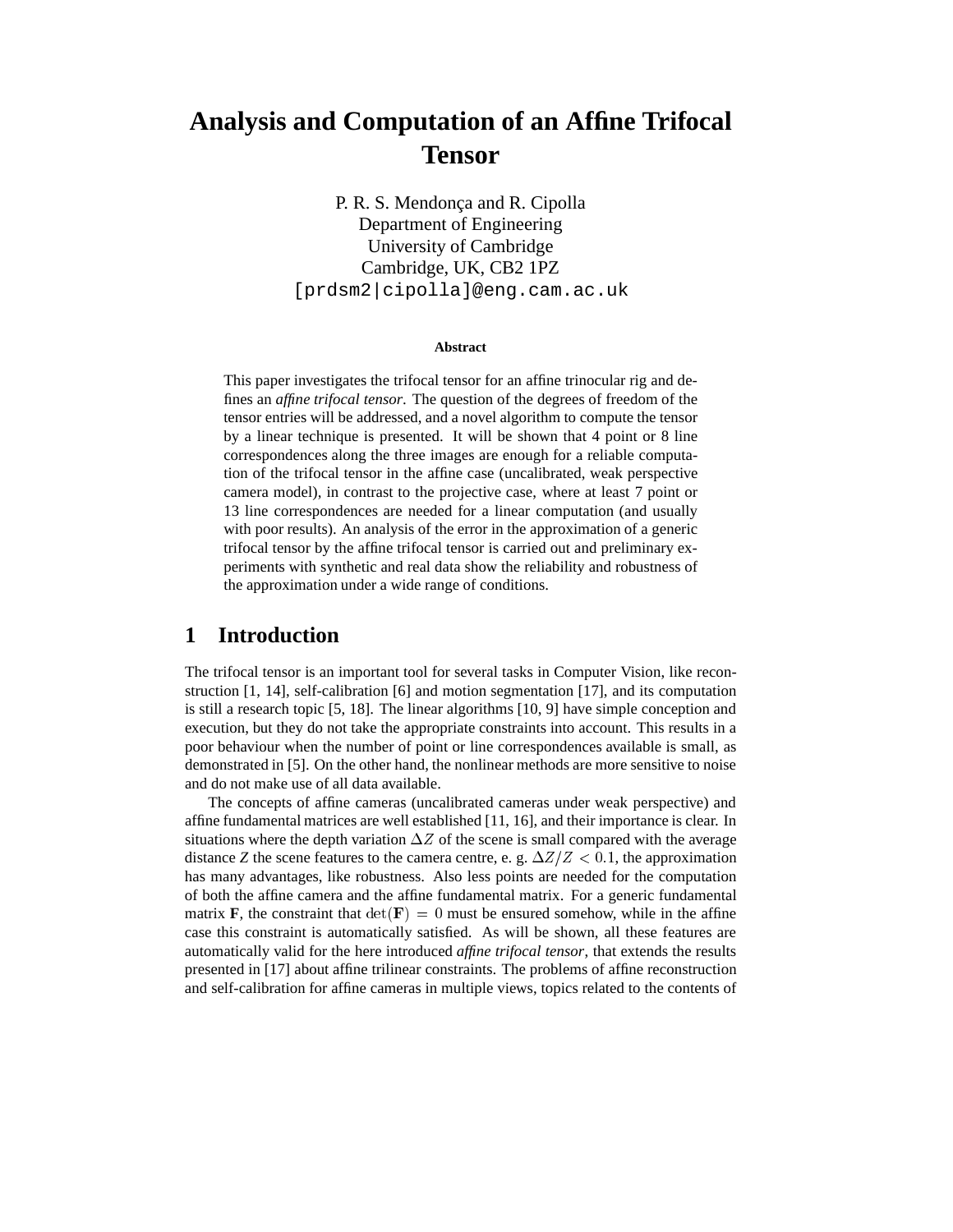# **Analysis and Computation of an Affine Trifocal Tensor**

P. R. S. Mendonça and R. Cipolla Department of Engineering University of Cambridge Cambridge, UK, CB2 1PZ [prdsm2|cipolla]@eng.cam.ac.uk

#### **Abstract**

This paper investigates the trifocal tensor for an affine trinocular rig and defines an *affine trifocal tensor*. The question of the degrees of freedom of the tensor entries will be addressed, and a novel algorithm to compute the tensor by a linear technique is presented. It will be shown that 4 point or 8 line correspondences along the three images are enough for a reliable computation of the trifocal tensor in the affine case (uncalibrated, weak perspective camera model), in contrast to the projective case, where at least 7 point or 13 line correspondences are needed for a linear computation (and usually with poor results). An analysis of the error in the approximation of a generic trifocal tensor by the affine trifocal tensor is carried out and preliminary experiments with synthetic and real data show the reliability and robustness of the approximation under a wide range of conditions.

# **1 Introduction**

The trifocal tensor is an important tool for several tasks in Computer Vision, like reconstruction [1, 14], self-calibration [6] and motion segmentation [17], and its computation is still a research topic [5, 18]. The linear algorithms [10, 9] have simple conception and execution, but they do not take the appropriate constraints into account. This results in a poor behaviour when the number of point or line correspondences available is small, as demonstrated in [5]. On the other hand, the nonlinear methods are more sensitive to noise and do not make use of all data available.

The concepts of affine cameras (uncalibrated cameras under weak perspective) and affine fundamental matrices are well established [11, 16], and their importance is clear. In situations where the depth variation  $\Delta Z$  of the scene is small compared with the average distance *Z* the scene features to the camera centre, e. g.  $\Delta Z/Z < 0.1$ , the approximation has many advantages, like robustness. Also less points are needed for the computation of both the affine camera and the affine fundamental matrix. For a generic fundamental matrix **F**, the constraint that  $det(\mathbf{F}) = 0$  must be ensured somehow, while in the affine case this constraint is automatically satisfied. As will be shown, all these features are automatically valid for the here introduced *affine trifocal tensor*, that extends the results presented in [17] about affine trilinear constraints. The problems of affine reconstruction and self-calibration for affine cameras in multiple views, topics related to the contents of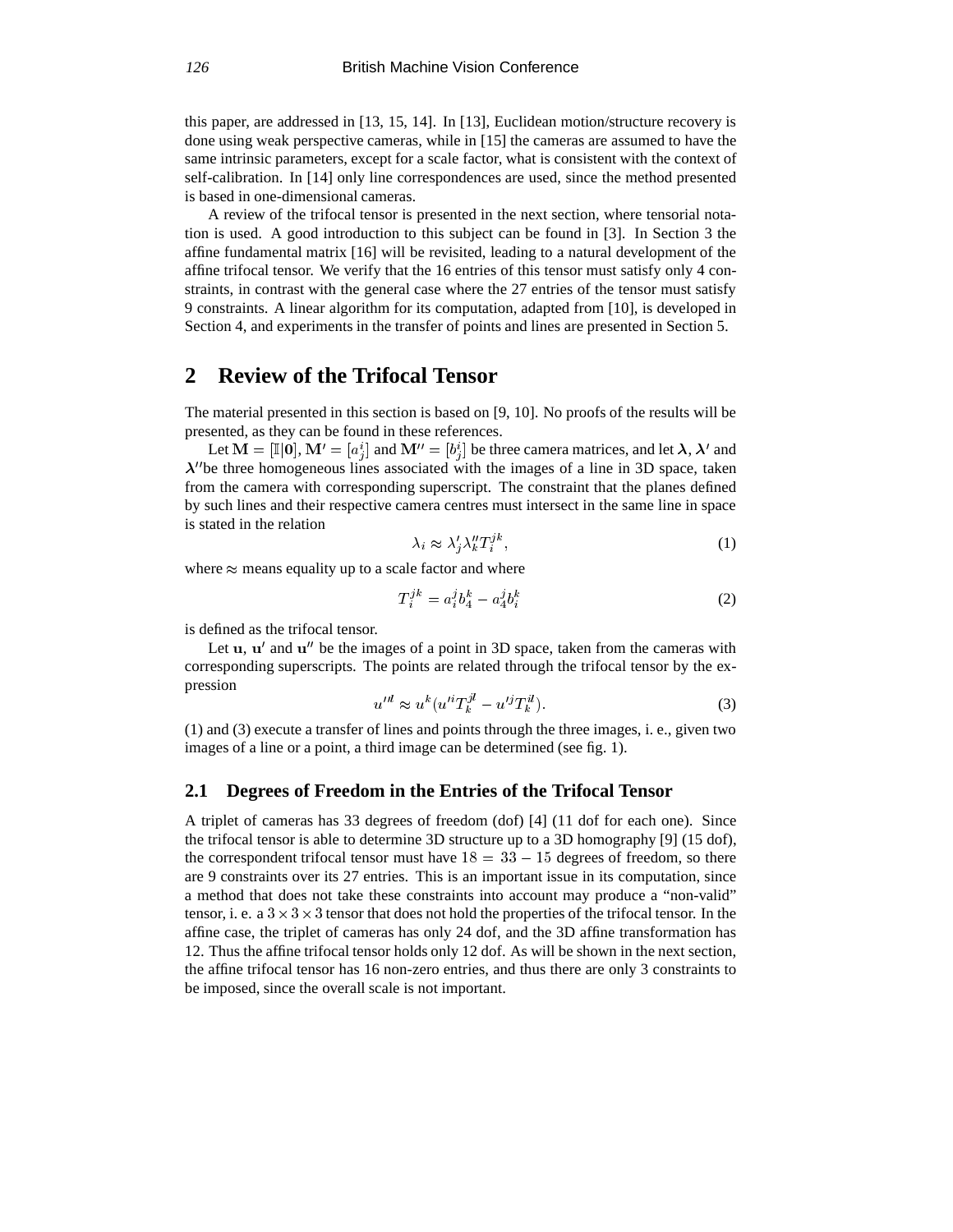this paper, are addressed in [13, 15, 14]. In [13], Euclidean motion/structure recovery is done using weak perspective cameras, while in [15] the cameras are assumed to have the same intrinsic parameters, except for a scale factor, what is consistent with the context of self-calibration. In [14] only line correspondences are used, since the method presented is based in one-dimensional cameras.

A review of the trifocal tensor is presented in the next section, where tensorial notation is used. A good introduction to this subject can be found in [3]. In Section 3 the affine fundamental matrix [16] will be revisited, leading to a natural development of the affine trifocal tensor. We verify that the 16 entries of this tensor must satisfy only 4 constraints, in contrast with the general case where the 27 entries of the tensor must satisfy 9 constraints. A linear algorithm for its computation, adapted from [10], is developed in Section 4, and experiments in the transfer of points and lines are presented in Section 5.

# **2 Review of the Trifocal Tensor**

The material presented in this section is based on [9, 10]. No proofs of the results will be presented, as they can be found in these references.

Let  $\mathbf{M} = [\mathbb{I} | \mathbf{0}], \mathbf{M}' = [a_i^i]$  and  $\mathbf{M}'' = [b_i^i]$  be three camera matrices, and let  $\lambda, \lambda'$  and <sup>j</sup> <sup>j</sup>  $\lambda$ "be three homogeneous lines associated with the images of a line in 3D space, taken from the camera with corresponding superscript. The constraint that the planes defined by such lines and their respective camera centres must intersect in the same line in space is stated in the relation

$$
\lambda_i \approx \lambda_j' \lambda_k'' T_i^{jk},\tag{1}
$$

where  $\approx$  means equality up to a scale factor and where

$$
T_i^{jk} = a_i^j b_4^k - a_4^j b_i^k \tag{2}
$$

is defined as the trifocal tensor.

Let  $u$ ,  $u'$  and  $u''$  be the images of a point in 3D space, taken from the cameras with corresponding superscripts. The points are related through the trifocal tensor by the expression

$$
u^{\prime\prime l} \approx u^k (u^{\prime i} T_k^{jl} - u^{\prime j} T_k^{il}). \tag{3}
$$

(1) and (3) execute a transfer of lines and points through the three images, i. e., given two images of a line or a point, a third image can be determined (see fig. 1).

### **2.1 Degrees of Freedom in the Entries of the Trifocal Tensor**

A triplet of cameras has 33 degrees of freedom (dof) [4] (11 dof for each one). Since the trifocal tensor is able to determine 3D structure up to a 3D homography [9] (15 dof), the correspondent trifocal tensor must have  $18 = 33 - 15$  degrees of freedom, so there are 9 constraints over its 27 entries. This is an important issue in its computation, since a method that does not take these constraints into account may produce a "non-valid" tensor, i. e. a  $3 \times 3 \times 3$  tensor that does not hold the properties of the trifocal tensor. In the affine case, the triplet of cameras has only 24 dof, and the 3D affine transformation has 12. Thus the affine trifocal tensor holds only 12 dof. As will be shown in the next section, the affine trifocal tensor has 16 non-zero entries, and thus there are only 3 constraints to be imposed, since the overall scale is not important.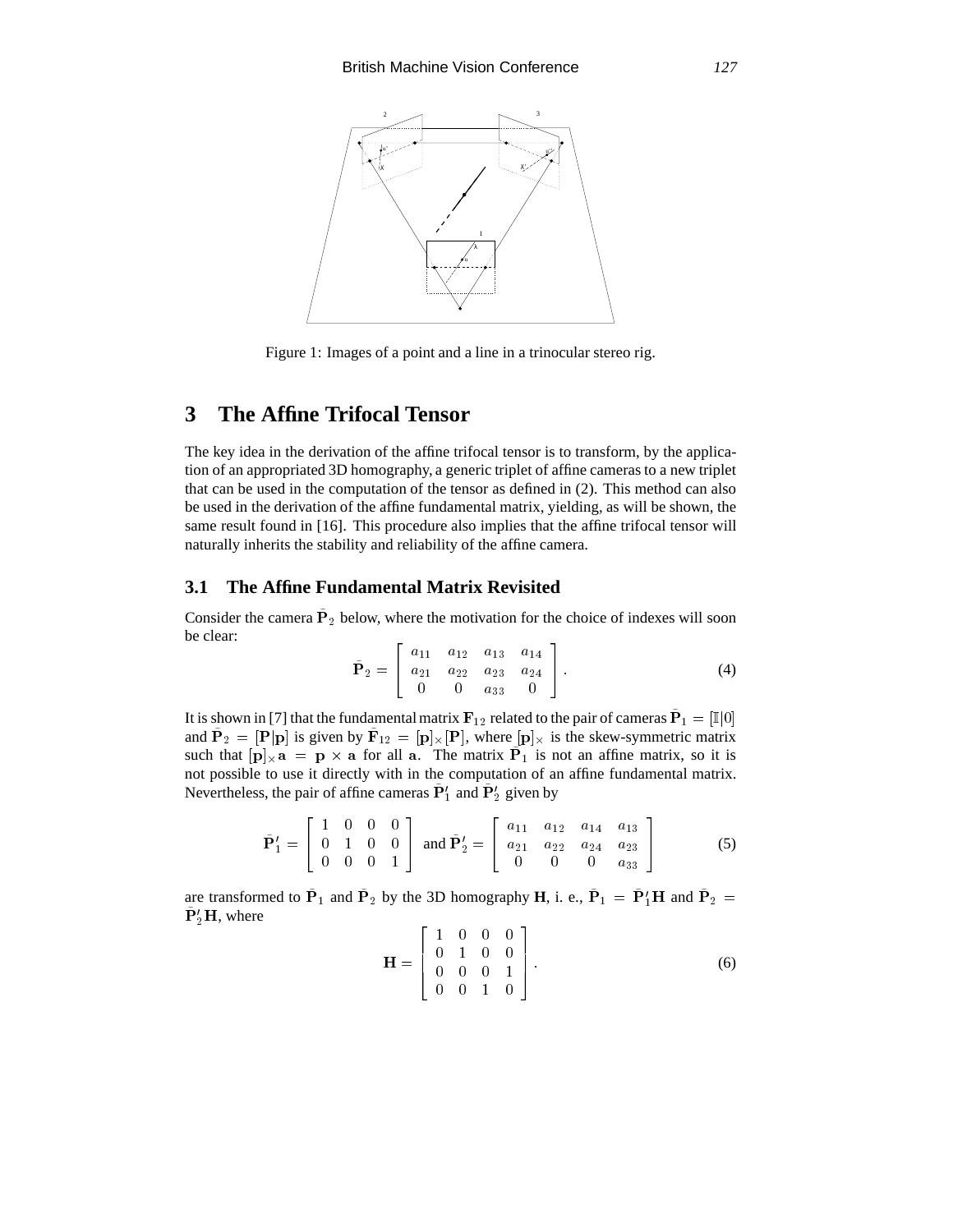

Figure 1: Images of a point and a line in a trinocular stereo rig.

# **3 The Affine Trifocal Tensor**

The key idea in the derivation of the affine trifocal tensor is to transform, by the application of an appropriated 3D homography, a generic triplet of affine cameras to a new triplet that can be used in the computation of the tensor as defined in (2). This method can also be used in the derivation of the affine fundamental matrix, yielding, as will be shown, the same result found in [16]. This procedure also implies that the affine trifocal tensor will naturally inherits the stability and reliability of the affine camera.

### **3.1 The Affine Fundamental Matrix Revisited**

Consider the camera  $P_2$  below, where the motivation for the choice of indexes will soon be clear:  $\sim$  200  $\sim$  200  $\sim$  200  $\sim$  200  $\sim$  200  $\sim$  200  $\sim$  200  $\sim$  200  $\sim$  200  $\sim$  200  $\sim$ <sup>3</sup>

$$
\tilde{\mathbf{P}}_2 = \begin{bmatrix} a_{11} & a_{12} & a_{13} & a_{14} \\ a_{21} & a_{22} & a_{23} & a_{24} \\ 0 & 0 & a_{33} & 0 \end{bmatrix} . \tag{4}
$$

It is shown in [7] that the fundamental matrix  ${\bf F}_{12}$  related to the pair of cameras  ${\bf P}_1 = \lbrack\! \lbrack\! \lbrack\! \lbrack0\rbrack\! \rbrack$ and  $P_2 = [P|p]$  is given by  $F_{12} = [p]_{\times} [P]$ , where  $[p]_{\times}$  is the skew-symmetric matrix such that  $[p]_{\times}a = p \times a$  for all a. The matrix  $P_1$  is not an affine matrix, so it is not possible to use it directly with in the computation of an affine fundamental matrix. Nevertheless, the pair of affine cameras  $P'_{1}$  and  $P'_{2}$  given by

$$
\tilde{\mathbf{P}}_1' = \begin{bmatrix} 1 & 0 & 0 & 0 \\ 0 & 1 & 0 & 0 \\ 0 & 0 & 0 & 1 \end{bmatrix} \text{ and } \tilde{\mathbf{P}}_2' = \begin{bmatrix} a_{11} & a_{12} & a_{14} & a_{13} \\ a_{21} & a_{22} & a_{24} & a_{23} \\ 0 & 0 & 0 & a_{33} \end{bmatrix}
$$
 (5)

are transformed to  $P_1$  and  $P_2$  by the 3D homography **H**, i. e.,  $P_1 = P_1'H$  and  $P_2 =$  $\tilde{\mathbf{P}}_2' \mathbf{H}$ , where  $\sim$  200  $\sim$  200  $\sim$  200  $\sim$  200  $\sim$  200  $\sim$  200  $\sim$  200  $\sim$  200  $\sim$  200  $\sim$  200  $\sim$ 

$$
\mathbf{H} = \left[ \begin{array}{cccc} 1 & 0 & 0 & 0 \\ 0 & 1 & 0 & 0 \\ 0 & 0 & 0 & 1 \\ 0 & 0 & 1 & 0 \end{array} \right].
$$
 (6)

<sup>3</sup>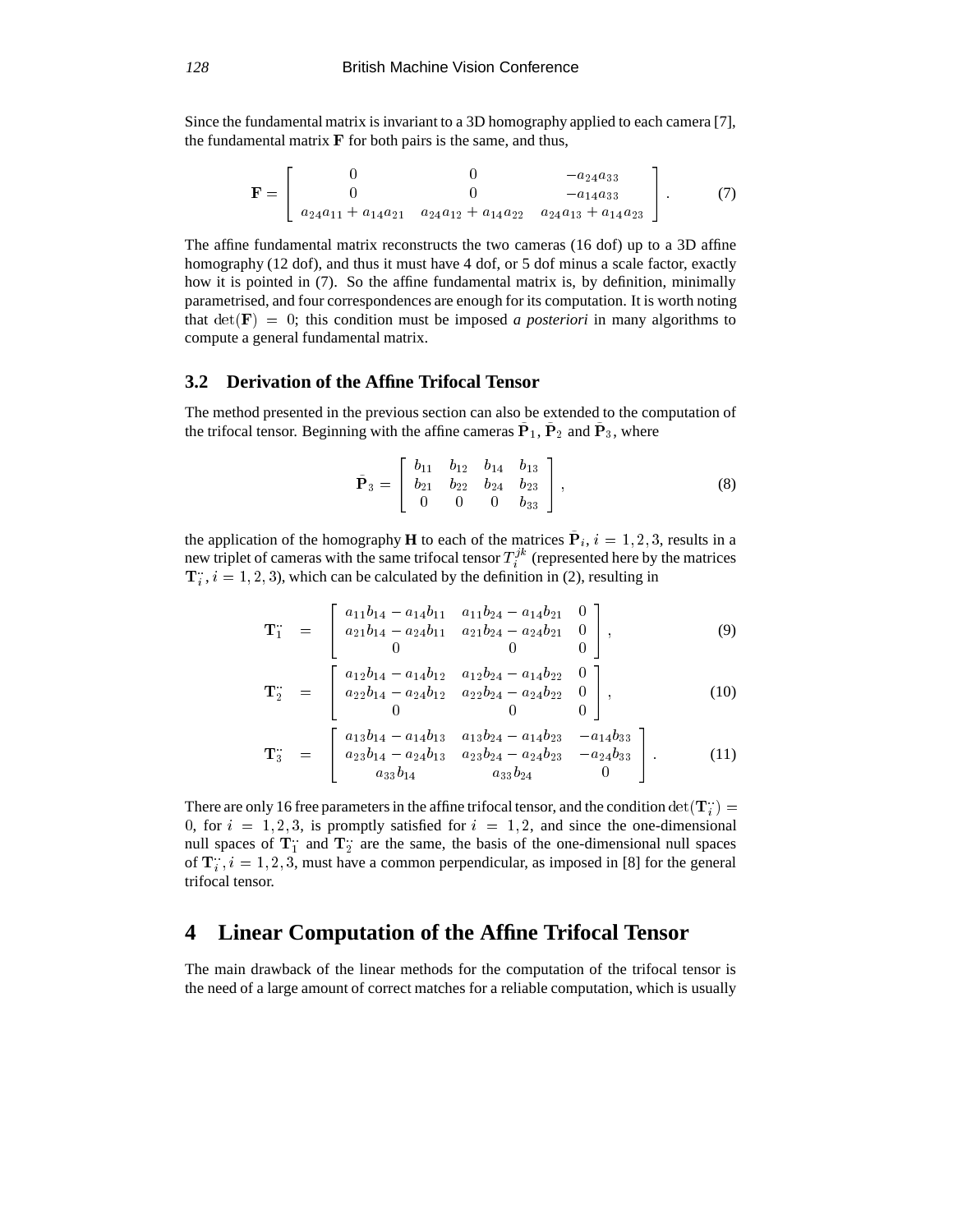Since the fundamental matrix is invariant to a 3D homography applied to each camera [7], the fundamental matrix  $\bf{F}$  for both pairs is the same, and thus,

$$
\mathbf{F} = \begin{bmatrix} 0 & 0 & -a_{24}a_{33} \\ 0 & 0 & -a_{14}a_{33} \\ a_{24}a_{11} + a_{14}a_{21} & a_{24}a_{12} + a_{14}a_{22} & a_{24}a_{13} + a_{14}a_{23} \end{bmatrix} . \tag{7}
$$

The affine fundamental matrix reconstructs the two cameras (16 dof) up to a 3D affine homography (12 dof), and thus it must have 4 dof, or 5 dof minus a scale factor, exactly how it is pointed in (7). So the affine fundamental matrix is, by definition, minimally parametrised, and four correspondences are enough for its computation. It is worth noting that  $\det(\mathbf{F}) = 0$ ; this condition must be imposed *a posteriori* in many algorithms to compute a general fundamental matrix.

### **3.2 Derivation of the Affine Trifocal Tensor**

22 Januari - Januari - Januari - Januari - Januari - Januari - Januari - Januari - Januari - Januari - Januari

The method presented in the previous section can also be extended to the computation of the trifocal tensor. Beginning with the affine cameras  $P_1$ ,  $P_2$  and  $P_3$ , where

$$
\tilde{\mathbf{P}}_3 = \begin{bmatrix} b_{11} & b_{12} & b_{14} & b_{13} \\ b_{21} & b_{22} & b_{24} & b_{23} \\ 0 & 0 & 0 & b_{33} \end{bmatrix},
$$
\n(8)

<sup>3</sup>

the application of the homography **H** to each of the matrices  $P_i$ ,  $i = 1, 2, 3$ , results in a new triplet of cameras with the same trifocal tensor  $T_i^{jk}$  (represented here by the matrices  $T_i$ ,  $i = 1, 2, 3$ ), which can be calculated by the definition in (2), resulting in

$$
\mathbf{T}_{1}^{\cdots} = \begin{bmatrix} a_{11}b_{14} - a_{14}b_{11} & a_{11}b_{24} - a_{14}b_{21} & 0 \\ a_{21}b_{14} - a_{24}b_{11} & a_{21}b_{24} - a_{24}b_{21} & 0 \\ 0 & 0 & 0 \end{bmatrix}, \qquad (9)
$$

$$
\mathbf{T}_2 = \begin{bmatrix} a_{12}b_{14} - a_{14}b_{12} & a_{12}b_{24} - a_{14}b_{22} & 0 \\ a_{22}b_{14} - a_{24}b_{12} & a_{22}b_{24} - a_{24}b_{22} & 0 \\ 0 & 0 & 0 \end{bmatrix},
$$
(10)

<sup>0</sup> <sup>0</sup> <sup>0</sup>

<sup>0</sup> <sup>0</sup> <sup>0</sup>

$$
\mathbf{T}_{3}^{\cdots} = \begin{bmatrix} a_{13}b_{14} - a_{14}b_{13} & a_{13}b_{24} - a_{14}b_{23} & -a_{14}b_{33} \\ a_{23}b_{14} - a_{24}b_{13} & a_{23}b_{24} - a_{24}b_{23} & -a_{24}b_{33} \\ a_{33}b_{14} & a_{33}b_{24} & 0 \end{bmatrix}.
$$
 (11)

There are only 16 free parameters in the affine trifocal tensor, and the condition  $\det(\mathbf{T}_i)$  = 0, for  $i = 1, 2, 3$ , is promptly satisfied for  $i = 1, 2$ , and since the one-dimensional null spaces of  $T_1$  and  $T_2$  are the same, the basis of the one-dimensional null spaces of  $\mathbf{T}_i$ ,  $i = 1, 2, 3$ , must have a common perpendicular, as imposed in [8] for the general trifocal tensor.

# **4 Linear Computation of the Affine Trifocal Tensor**

The main drawback of the linear methods for the computation of the trifocal tensor is the need of a large amount of correct matches for a reliable computation, which is usually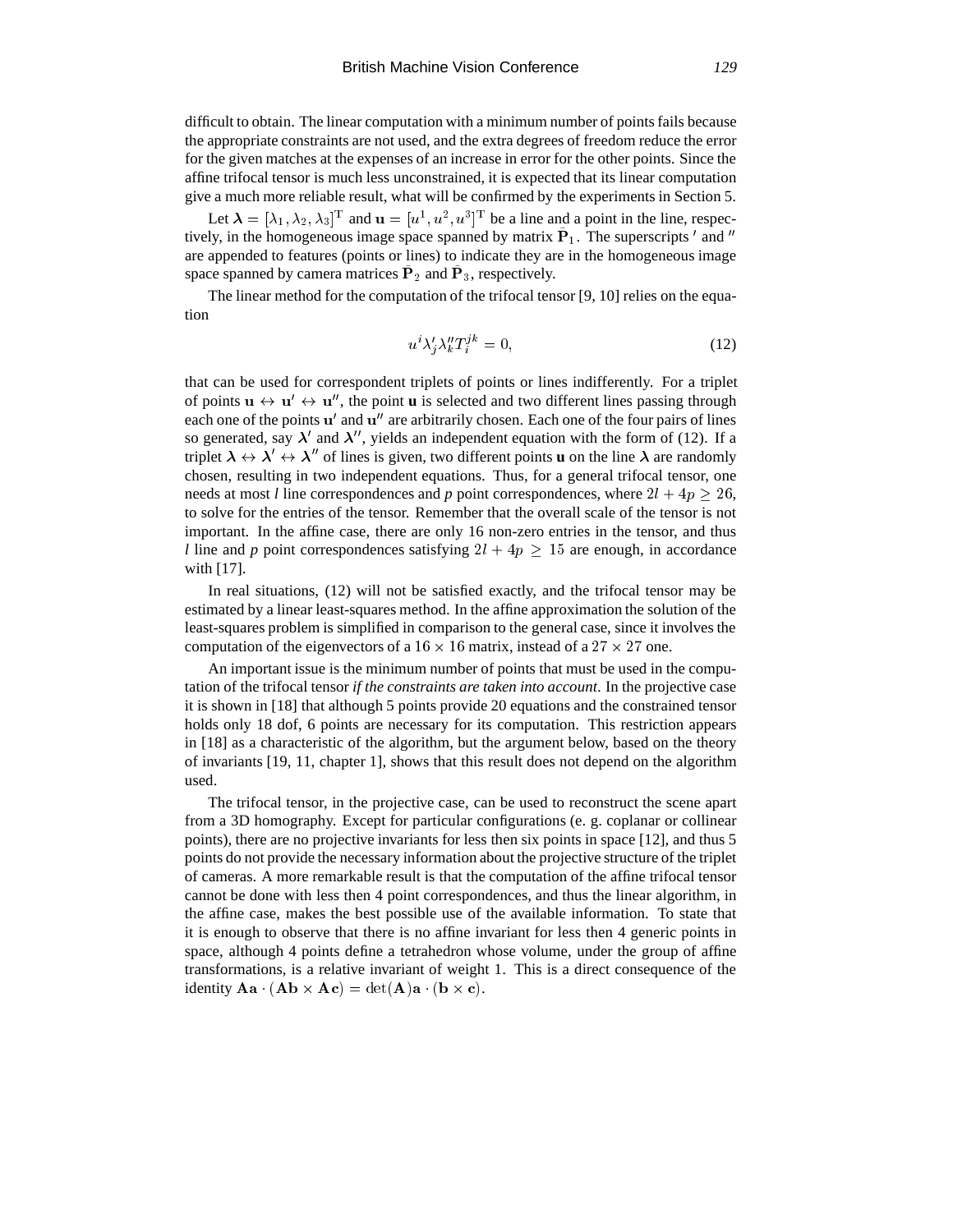difficult to obtain. The linear computation with a minimum number of points fails because the appropriate constraints are not used, and the extra degrees of freedom reduce the error for the given matches at the expenses of an increase in error for the other points. Since the affine trifocal tensor is much less unconstrained, it is expected that its linear computation give a much more reliable result, what will be confirmed by the experiments in Section 5.

Let  $\lambda = [\lambda_1, \lambda_2, \lambda_3]^T$  and  $\mathbf{u} = [u^1, u^2, u^3]^T$  be a line and a point in the line, respectively, in the homogeneous image space spanned by matrix  $P_1$ . The superscripts  $\prime$  and  $\prime\prime$ are appended to features (points or lines) to indicate they are in the homogeneous image space spanned by camera matrices  $P_2$  and  $P_3$ , respectively.

The linear method for the computation of the trifocal tensor [9, 10] relies on the equation

$$
u^i \lambda_i' \lambda_k'' T_i^{jk} = 0,\t\t(12)
$$

that can be used for correspondent triplets of points or lines indifferently. For a triplet of points  $u \leftrightarrow u' \leftrightarrow u''$ , the point **u** is selected and two different lines passing through each one of the points u' and u" are arbitrarily chosen. Each one of the four pairs of lines so generated, say  $\lambda'$  and  $\lambda''$ , yields an independent equation with the form of (12). If a triplet  $\lambda \leftrightarrow \lambda' \leftrightarrow \lambda''$  of lines is given, two different points **u** on the line  $\lambda$  are randomly chosen, resulting in two independent equations. Thus, for a general trifocal tensor, one needs at most *l* line correspondences and *p* point correspondences, where  $2l + 4p \ge 26$ , to solve for the entries of the tensor. Remember that the overall scale of the tensor is not important. In the affine case, there are only 16 non-zero entries in the tensor, and thus *l* line and *p* point correspondences satisfying  $2l + 4p \ge 15$  are enough, in accordance with [17].

In real situations, (12) will not be satisfied exactly, and the trifocal tensor may be estimated by a linear least-squares method. In the affine approximation the solution of the least-squares problem is simplified in comparison to the general case, since it involves the computation of the eigenvectors of a  $16 \times 16$  matrix, instead of a  $27 \times 27$  one.

An important issue is the minimum number of points that must be used in the computation of the trifocal tensor *if the constraints are taken into account*. In the projective case it is shown in [18] that although 5 points provide 20 equations and the constrained tensor holds only 18 dof, 6 points are necessary for its computation. This restriction appears in [18] as a characteristic of the algorithm, but the argument below, based on the theory of invariants [19, 11, chapter 1], shows that this result does not depend on the algorithm used.

The trifocal tensor, in the projective case, can be used to reconstruct the scene apart from a 3D homography. Except for particular configurations (e. g. coplanar or collinear points), there are no projective invariants for less then six points in space [12], and thus 5 points do not provide the necessary information about the projective structure of the triplet of cameras. A more remarkable result is that the computation of the affine trifocal tensor cannot be done with less then 4 point correspondences, and thus the linear algorithm, in the affine case, makes the best possible use of the available information. To state that it is enough to observe that there is no affine invariant for less then 4 generic points in space, although 4 points define a tetrahedron whose volume, under the group of affine transformations, is a relative invariant of weight 1. This is a direct consequence of the identity  $\mathbf{A} \mathbf{a} \cdot (\mathbf{A} \mathbf{b} \times \mathbf{A} \mathbf{c}) = \det(\mathbf{A}) \mathbf{a} \cdot (\mathbf{b} \times \mathbf{c}).$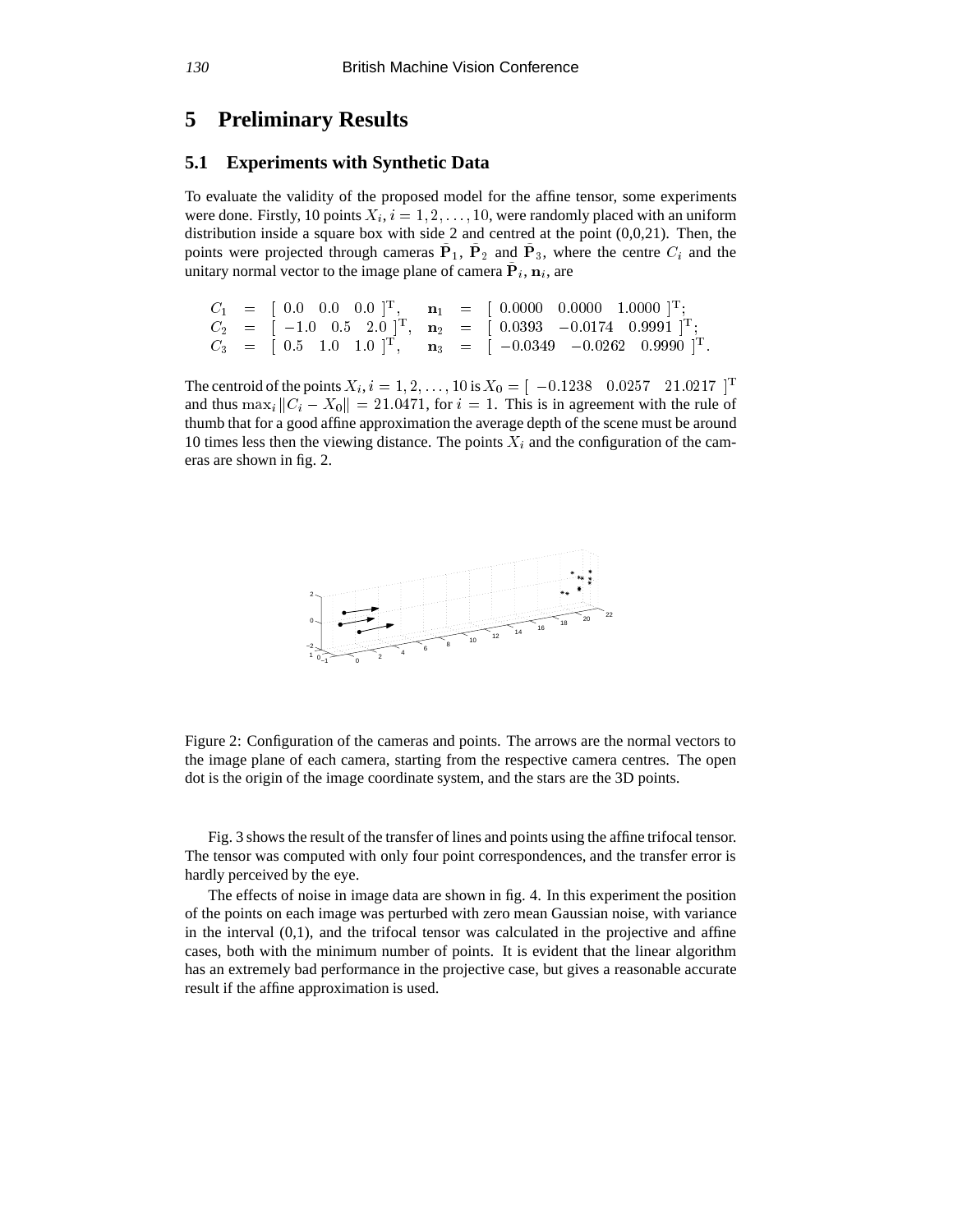### **5 Preliminary Results**

### **5.1 Experiments with Synthetic Data**

To evaluate the validity of the proposed model for the affine tensor, some experiments were done. Firstly, 10 points  $X_i$ ,  $i = 1, 2, \ldots, 10$ , were randomly placed with an uniform distribution inside a square box with side 2 and centred at the point  $(0,0,21)$ . Then, the points were projected through cameras  $P_1$ ,  $P_2$  and  $P_3$ , where the centre  $C_i$  and the unitary normal vector to the image plane of camera  $P_i, n_i$ , are

 $C_1$  =  $\pm$  0.0 0.0 0.0  $\pm$ ,  $\mathbf{n}_1$  =  $\pm$  0.0000 0.0000 1.0000  $\pm$ ;  $C_2$  =  $|-1.0$  0.5 2.0  $\cdot$ ,  $n_2$  =  $|$  0.0393  $-$ 0.0174 0.9991  $\cdot$ ;  $C_3$  =  $(0.5 \pm 0.0 \pm 0.1)$   $(1.0 \pm 0.1)$   $(1.2 \pm 0.034)$   $(1.00 \pm 0.0202)$   $(0.9990 \pm 0.000)$ 

The centroid of the points  $X_i$ ,  $i = 1, 2, \ldots, 10$  is  $X_0 = \begin{bmatrix} -0.1238 & 0.0257 & 21.0217 \end{bmatrix}^T$ and thus  $\max_i ||C_i - X_0|| = 21.0471$ , for  $i = 1$ . This is in agreement with the rule of thumb that for a good affine approximation the average depth of the scene must be around 10 times less then the viewing distance. The points  $X_i$  and the configuration of the cameras are shown in fig. 2.



Figure 2: Configuration of the cameras and points. The arrows are the normal vectors to the image plane of each camera, starting from the respective camera centres. The open dot is the origin of the image coordinate system, and the stars are the 3D points.

Fig. 3 shows the result of the transfer of lines and points using the affine trifocal tensor. The tensor was computed with only four point correspondences, and the transfer error is hardly perceived by the eye.

The effects of noise in image data are shown in fig. 4. In this experiment the position of the points on each image was perturbed with zero mean Gaussian noise, with variance in the interval  $(0,1)$ , and the trifocal tensor was calculated in the projective and affine cases, both with the minimum number of points. It is evident that the linear algorithm has an extremely bad performance in the projective case, but gives a reasonable accurate result if the affine approximation is used.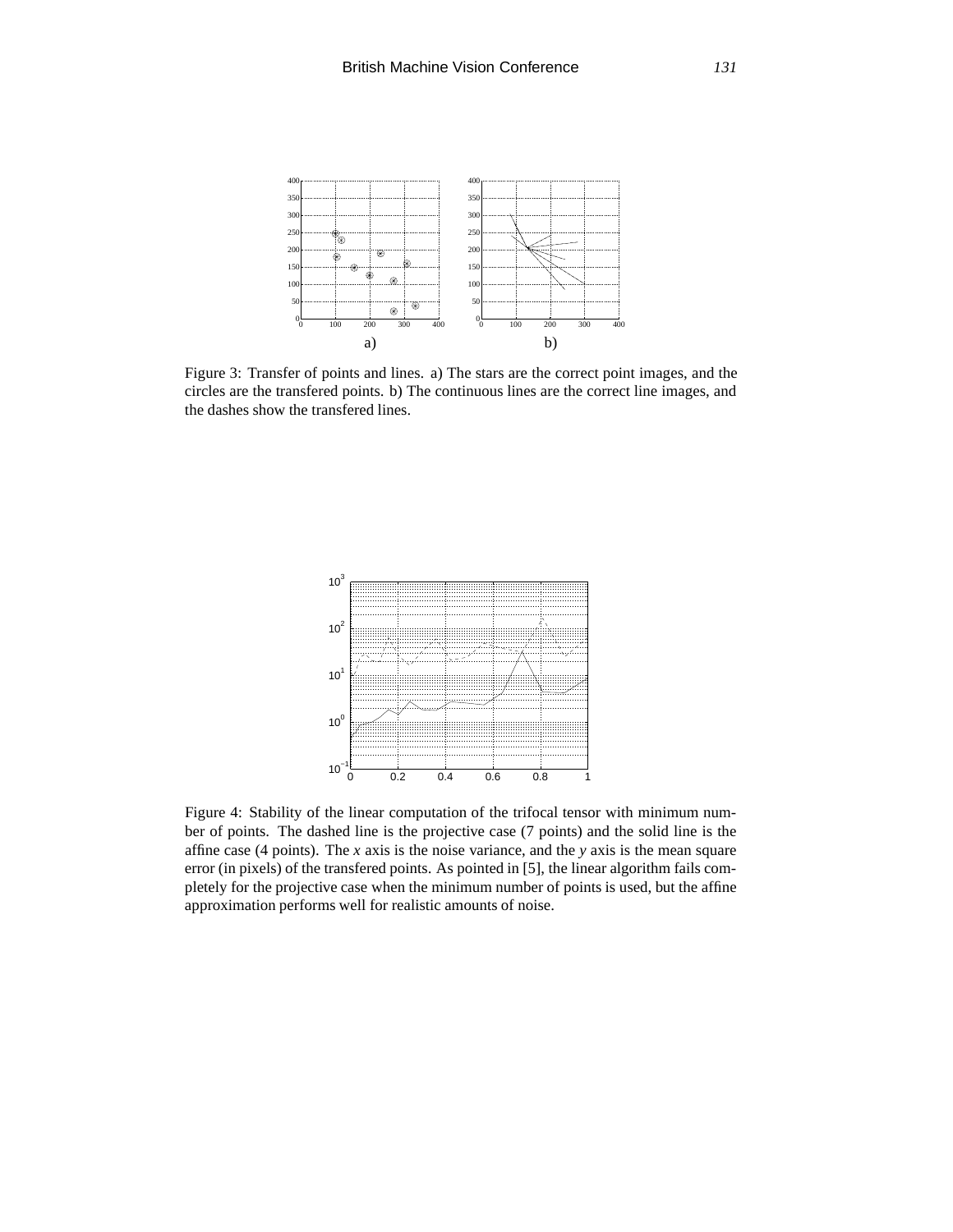

Figure 3: Transfer of points and lines. a) The stars are the correct point images, and the circles are the transfered points. b) The continuous lines are the correct line images, and the dashes show the transfered lines.



Figure 4: Stability of the linear computation of the trifocal tensor with minimum number of points. The dashed line is the projective case (7 points) and the solid line is the affine case (4 points). The *x* axis is the noise variance, and the *y* axis is the mean square error (in pixels) of the transfered points. As pointed in [5], the linear algorithm fails completely for the projective case when the minimum number of points is used, but the affine approximation performs well for realistic amounts of noise.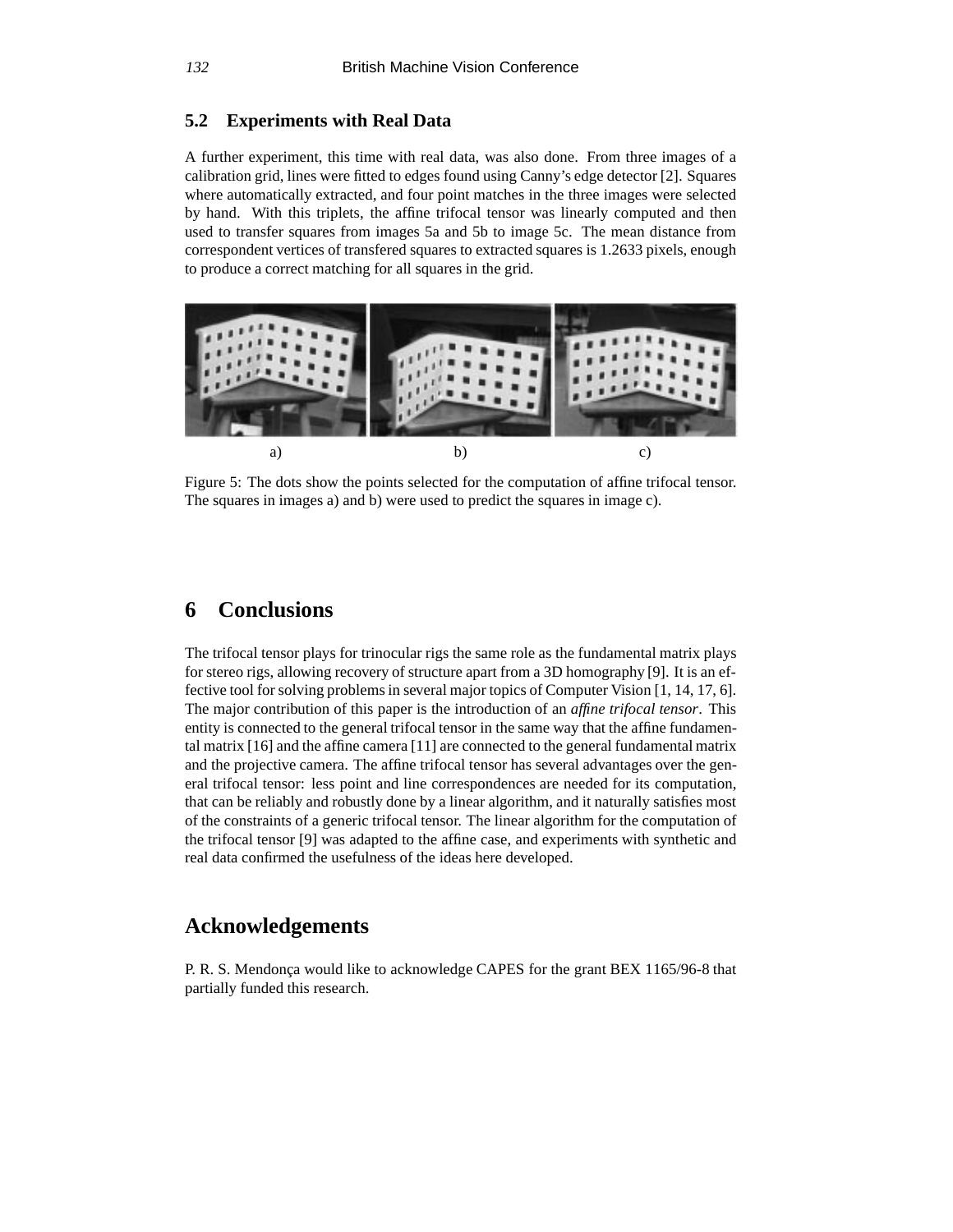### **5.2 Experiments with Real Data**

A further experiment, this time with real data, was also done. From three images of a calibration grid, lines were fitted to edges found using Canny's edge detector [2]. Squares where automatically extracted, and four point matches in the three images were selected by hand. With this triplets, the affine trifocal tensor was linearly computed and then used to transfer squares from images 5a and 5b to image 5c. The mean distance from correspondent vertices of transfered squares to extracted squares is 1.2633 pixels, enough to produce a correct matching for all squares in the grid.



Figure 5: The dots show the points selected for the computation of affine trifocal tensor. The squares in images a) and b) were used to predict the squares in image c).

# **6 Conclusions**

The trifocal tensor plays for trinocular rigs the same role as the fundamental matrix plays for stereo rigs, allowing recovery of structure apart from a 3D homography [9]. It is an effective tool for solving problems in several major topics of Computer Vision [1, 14, 17, 6]. The major contribution of this paper is the introduction of an *affine trifocal tensor*. This entity is connected to the general trifocal tensor in the same way that the affine fundamental matrix [16] and the affine camera [11] are connected to the general fundamental matrix and the projective camera. The affine trifocal tensor has several advantages over the general trifocal tensor: less point and line correspondences are needed for its computation, that can be reliably and robustly done by a linear algorithm, and it naturally satisfies most of the constraints of a generic trifocal tensor. The linear algorithm for the computation of the trifocal tensor [9] was adapted to the affine case, and experiments with synthetic and real data confirmed the usefulness of the ideas here developed.

# **Acknowledgements**

P. R. S. Mendonca would like to acknowledge CAPES for the grant BEX 1165/96-8 that partially funded this research.